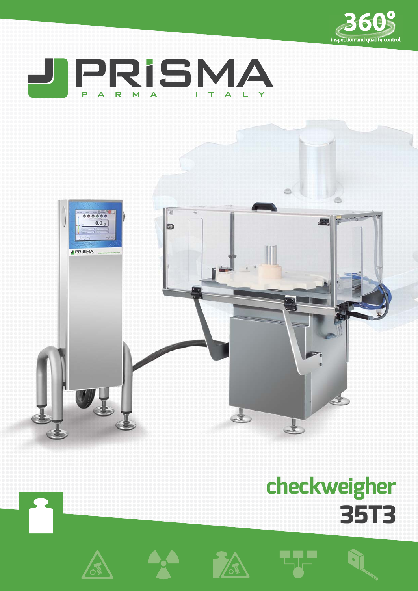